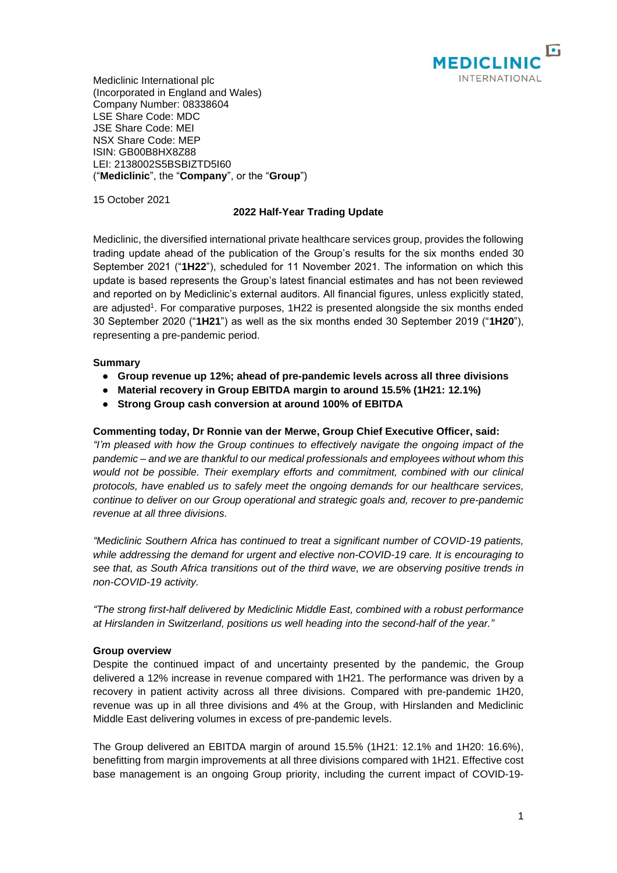

Mediclinic International plc (Incorporated in England and Wales) Company Number: 08338604 LSE Share Code: MDC JSE Share Code: MEI NSX Share Code: MEP ISIN: GB00B8HX8Z88 LEI: 2138002S5BSBIZTD5I60 ("**Mediclinic**", the "**Company**", or the "**Group**")

15 October 2021

# **2022 Half-Year Trading Update**

Mediclinic, the diversified international private healthcare services group, provides the following trading update ahead of the publication of the Group's results for the six months ended 30 September 2021 ("**1H22**"), scheduled for 11 November 2021. The information on which this update is based represents the Group's latest financial estimates and has not been reviewed and reported on by Mediclinic's external auditors. All financial figures, unless explicitly stated, are adjusted<sup>1</sup>. For comparative purposes, 1H22 is presented alongside the six months ended 30 September 2020 ("**1H21**") as well as the six months ended 30 September 2019 ("**1H20**"), representing a pre-pandemic period.

## **Summary**

- **● Group revenue up 12%; ahead of pre-pandemic levels across all three divisions**
- **● Material recovery in Group EBITDA margin to around 15.5% (1H21: 12.1%)**
- **● Strong Group cash conversion at around 100% of EBITDA**

### **Commenting today, Dr Ronnie van der Merwe, Group Chief Executive Officer, said:**

*"I'm pleased with how the Group continues to effectively navigate the ongoing impact of the pandemic – and we are thankful to our medical professionals and employees without whom this would not be possible. Their exemplary efforts and commitment, combined with our clinical protocols, have enabled us to safely meet the ongoing demands for our healthcare services, continue to deliver on our Group operational and strategic goals and, recover to pre-pandemic revenue at all three divisions.*

*"Mediclinic Southern Africa has continued to treat a significant number of COVID-19 patients, while addressing the demand for urgent and elective non-COVID-19 care. It is encouraging to see that, as South Africa transitions out of the third wave, we are observing positive trends in non-COVID-19 activity.*

*"The strong first-half delivered by Mediclinic Middle East, combined with a robust performance at Hirslanden in Switzerland, positions us well heading into the second-half of the year."*

### **Group overview**

Despite the continued impact of and uncertainty presented by the pandemic, the Group delivered a 12% increase in revenue compared with 1H21. The performance was driven by a recovery in patient activity across all three divisions. Compared with pre-pandemic 1H20, revenue was up in all three divisions and 4% at the Group, with Hirslanden and Mediclinic Middle East delivering volumes in excess of pre-pandemic levels.

The Group delivered an EBITDA margin of around 15.5% (1H21: 12.1% and 1H20: 16.6%), benefitting from margin improvements at all three divisions compared with 1H21. Effective cost base management is an ongoing Group priority, including the current impact of COVID-19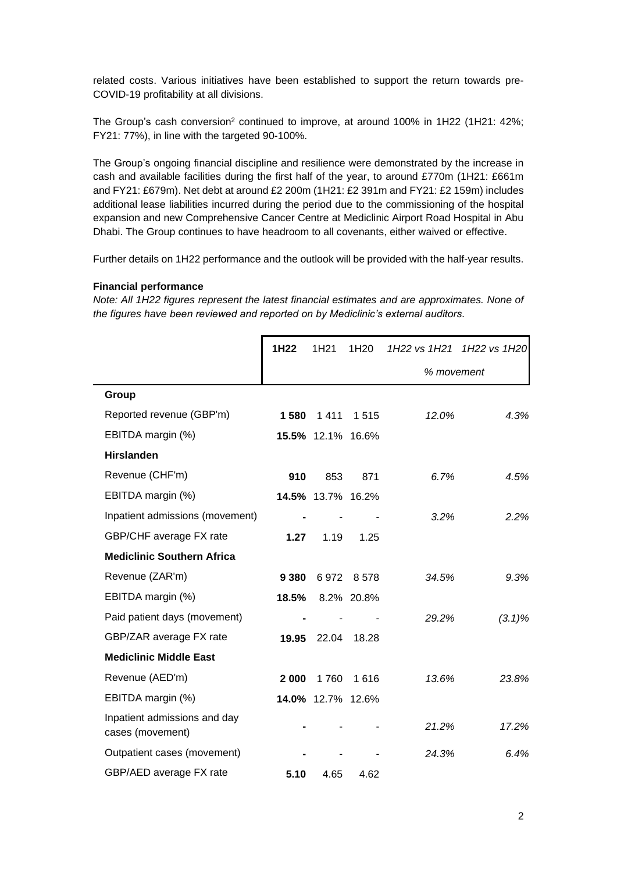related costs. Various initiatives have been established to support the return towards pre-COVID-19 profitability at all divisions.

The Group's cash conversion<sup>2</sup> continued to improve, at around 100% in 1H22 (1H21: 42%; FY21: 77%), in line with the targeted 90-100%.

The Group's ongoing financial discipline and resilience were demonstrated by the increase in cash and available facilities during the first half of the year, to around £770m (1H21: £661m and FY21: £679m). Net debt at around £2 200m (1H21: £2 391m and FY21: £2 159m) includes additional lease liabilities incurred during the period due to the commissioning of the hospital expansion and new Comprehensive Cancer Centre at Mediclinic Airport Road Hospital in Abu Dhabi. The Group continues to have headroom to all covenants, either waived or effective.

Further details on 1H22 performance and the outlook will be provided with the half-year results.

#### **Financial performance**

*Note: All 1H22 figures represent the latest financial estimates and are approximates. None of the figures have been reviewed and reported on by Mediclinic's external auditors.*

|                                                  | 1H22    | 1H <sub>21</sub>  | 1H <sub>20</sub> |            | 1H22 vs 1H21 1H22 vs 1H20 |  |
|--------------------------------------------------|---------|-------------------|------------------|------------|---------------------------|--|
|                                                  |         |                   |                  | % movement |                           |  |
| Group                                            |         |                   |                  |            |                           |  |
| Reported revenue (GBP'm)                         | 1580    | 1411              | 1515             | 12.0%      | 4.3%                      |  |
| EBITDA margin (%)                                |         | 15.5% 12.1% 16.6% |                  |            |                           |  |
| <b>Hirslanden</b>                                |         |                   |                  |            |                           |  |
| Revenue (CHF'm)                                  | 910     | 853               | 871              | 6.7%       | 4.5%                      |  |
| EBITDA margin (%)                                |         | 14.5% 13.7% 16.2% |                  |            |                           |  |
| Inpatient admissions (movement)                  |         |                   |                  | 3.2%       | 2.2%                      |  |
| GBP/CHF average FX rate                          | 1.27    | 1.19              | 1.25             |            |                           |  |
| <b>Mediclinic Southern Africa</b>                |         |                   |                  |            |                           |  |
| Revenue (ZAR'm)                                  | 9 3 8 0 | 6972              | 8 578            | 34.5%      | 9.3%                      |  |
| EBITDA margin (%)                                | 18.5%   |                   | 8.2% 20.8%       |            |                           |  |
| Paid patient days (movement)                     |         |                   |                  | 29.2%      | $(3.1)\%$                 |  |
| GBP/ZAR average FX rate                          | 19.95   | 22.04             | 18.28            |            |                           |  |
| <b>Mediclinic Middle East</b>                    |         |                   |                  |            |                           |  |
| Revenue (AED'm)                                  | 2 000   | 1760              | 1616             | 13.6%      | 23.8%                     |  |
| EBITDA margin (%)                                |         | 14.0% 12.7% 12.6% |                  |            |                           |  |
| Inpatient admissions and day<br>cases (movement) |         |                   |                  | 21.2%      | 17.2%                     |  |
| Outpatient cases (movement)                      |         |                   |                  | 24.3%      | 6.4%                      |  |
| GBP/AED average FX rate                          | 5.10    | 4.65              | 4.62             |            |                           |  |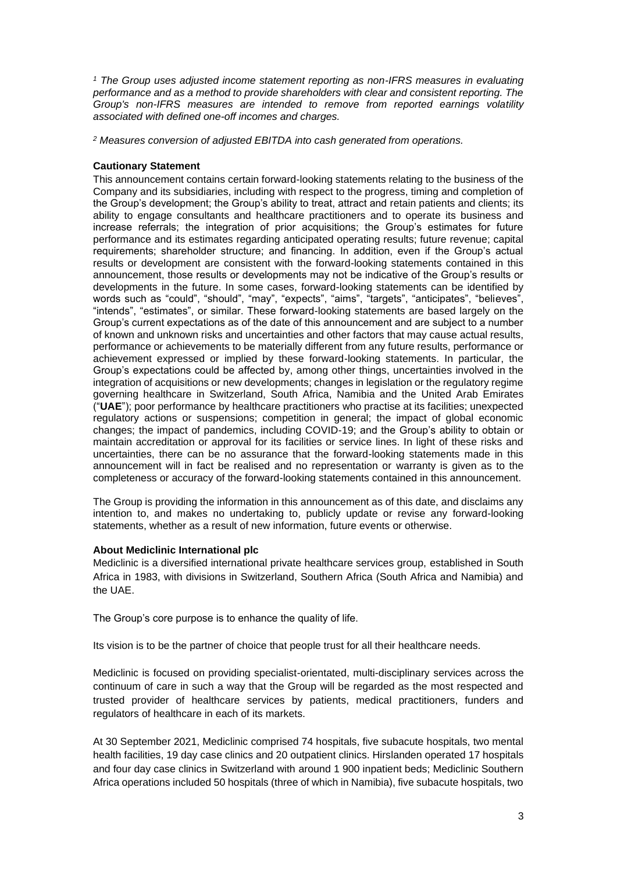*<sup>1</sup> The Group uses adjusted income statement reporting as non-IFRS measures in evaluating performance and as a method to provide shareholders with clear and consistent reporting. The Group's non-IFRS measures are intended to remove from reported earnings volatility associated with defined one-off incomes and charges.*

*<sup>2</sup> Measures conversion of adjusted EBITDA into cash generated from operations.*

## **Cautionary Statement**

This announcement contains certain forward-looking statements relating to the business of the Company and its subsidiaries, including with respect to the progress, timing and completion of the Group's development; the Group's ability to treat, attract and retain patients and clients; its ability to engage consultants and healthcare practitioners and to operate its business and increase referrals; the integration of prior acquisitions; the Group's estimates for future performance and its estimates regarding anticipated operating results; future revenue; capital requirements; shareholder structure; and financing. In addition, even if the Group's actual results or development are consistent with the forward-looking statements contained in this announcement, those results or developments may not be indicative of the Group's results or developments in the future. In some cases, forward-looking statements can be identified by words such as "could", "should", "may", "expects", "aims", "targets", "anticipates", "believes", "intends", "estimates", or similar. These forward-looking statements are based largely on the Group's current expectations as of the date of this announcement and are subject to a number of known and unknown risks and uncertainties and other factors that may cause actual results, performance or achievements to be materially different from any future results, performance or achievement expressed or implied by these forward-looking statements. In particular, the Group's expectations could be affected by, among other things, uncertainties involved in the integration of acquisitions or new developments; changes in legislation or the regulatory regime governing healthcare in Switzerland, South Africa, Namibia and the United Arab Emirates ("**UAE**"); poor performance by healthcare practitioners who practise at its facilities; unexpected regulatory actions or suspensions; competition in general; the impact of global economic changes; the impact of pandemics, including COVID-19; and the Group's ability to obtain or maintain accreditation or approval for its facilities or service lines. In light of these risks and uncertainties, there can be no assurance that the forward-looking statements made in this announcement will in fact be realised and no representation or warranty is given as to the completeness or accuracy of the forward-looking statements contained in this announcement.

The Group is providing the information in this announcement as of this date, and disclaims any intention to, and makes no undertaking to, publicly update or revise any forward-looking statements, whether as a result of new information, future events or otherwise.

# **About Mediclinic International plc**

Mediclinic is a diversified international private healthcare services group, established in South Africa in 1983, with divisions in Switzerland, Southern Africa (South Africa and Namibia) and the UAE.

The Group's core purpose is to enhance the quality of life.

Its vision is to be the partner of choice that people trust for all their healthcare needs.

Mediclinic is focused on providing specialist-orientated, multi-disciplinary services across the continuum of care in such a way that the Group will be regarded as the most respected and trusted provider of healthcare services by patients, medical practitioners, funders and regulators of healthcare in each of its markets.

At 30 September 2021, Mediclinic comprised 74 hospitals, five subacute hospitals, two mental health facilities, 19 day case clinics and 20 outpatient clinics. Hirslanden operated 17 hospitals and four day case clinics in Switzerland with around 1 900 inpatient beds; Mediclinic Southern Africa operations included 50 hospitals (three of which in Namibia), five subacute hospitals, two